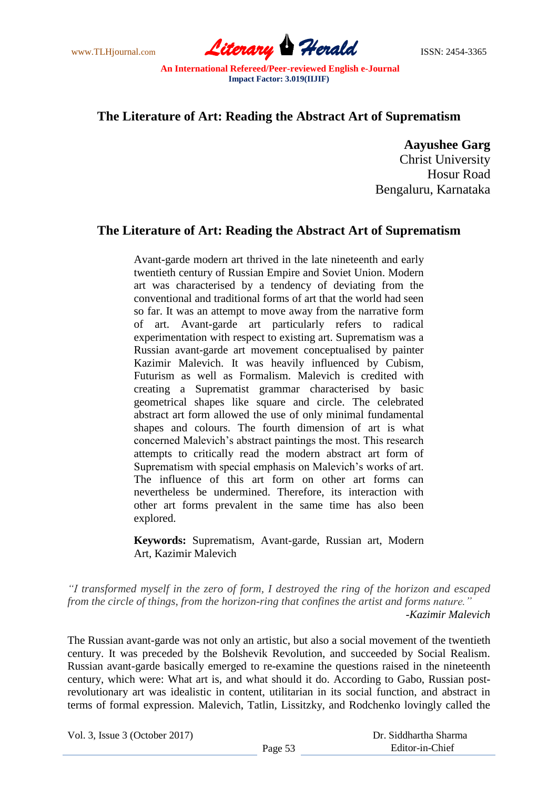www.TLHjournal.com **Literary Herald ISSN: 2454-3365** 

## **The Literature of Art: Reading the Abstract Art of Suprematism**

**Aayushee Garg**

Christ University Hosur Road Bengaluru, Karnataka

## **The Literature of Art: Reading the Abstract Art of Suprematism**

Avant-garde modern art thrived in the late nineteenth and early twentieth century of Russian Empire and Soviet Union. Modern art was characterised by a tendency of deviating from the conventional and traditional forms of art that the world had seen so far. It was an attempt to move away from the narrative form of art. Avant-garde art particularly refers to radical experimentation with respect to existing art. Suprematism was a Russian avant-garde art movement conceptualised by painter Kazimir Malevich. It was heavily influenced by Cubism, Futurism as well as Formalism. Malevich is credited with creating a Suprematist grammar characterised by basic geometrical shapes like square and circle. The celebrated abstract art form allowed the use of only minimal fundamental shapes and colours. The fourth dimension of art is what concerned Malevich"s abstract paintings the most. This research attempts to critically read the modern abstract art form of Suprematism with special emphasis on Malevich's works of art. The influence of this art form on other art forms can nevertheless be undermined. Therefore, its interaction with other art forms prevalent in the same time has also been explored.

**Keywords:** Suprematism, Avant-garde, Russian art, Modern Art, Kazimir Malevich

*"I transformed myself in the zero of form, I destroyed the ring of the horizon and escaped from the circle of things, from the horizon-ring that confines the artist and forms nature." -Kazimir Malevich*

The Russian avant-garde was not only an artistic, but also a social movement of the twentieth century. It was preceded by the Bolshevik Revolution, and succeeded by Social Realism. Russian avant-garde basically emerged to re-examine the questions raised in the nineteenth century, which were: What art is, and what should it do. According to Gabo, Russian postrevolutionary art was idealistic in content, utilitarian in its social function, and abstract in terms of formal expression. Malevich, Tatlin, Lissitzky, and Rodchenko lovingly called the

Vol. 3, Issue 3 (October 2017)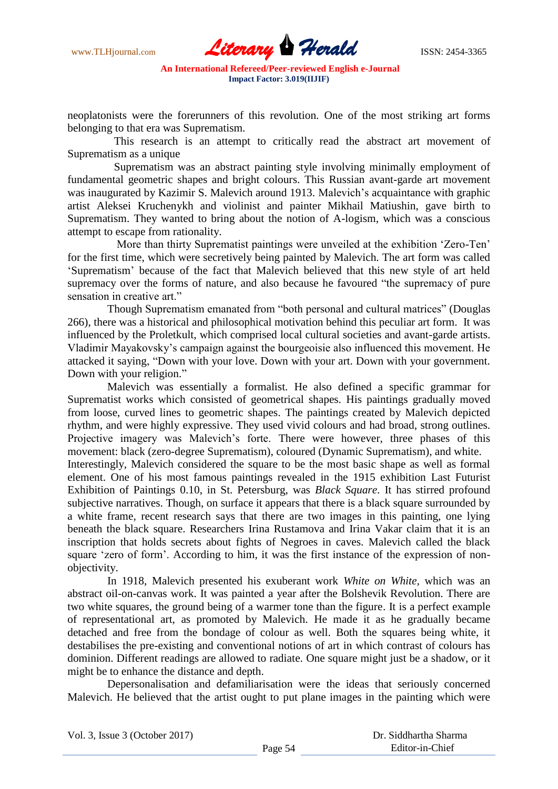

neoplatonists were the forerunners of this revolution. One of the most striking art forms belonging to that era was Suprematism.

This research is an attempt to critically read the abstract art movement of Suprematism as a unique

Suprematism was an abstract painting style involving minimally employment of fundamental geometric shapes and bright colours. This Russian avant-garde art movement was inaugurated by Kazimir S. Malevich around 1913. Malevich's acquaintance with graphic artist Aleksei Kruchenykh and violinist and painter Mikhail Matiushin, gave birth to Suprematism. They wanted to bring about the notion of A-logism, which was a conscious attempt to escape from rationality.

More than thirty Suprematist paintings were unveiled at the exhibition "Zero-Ten" for the first time, which were secretively being painted by Malevich. The art form was called "Suprematism" because of the fact that Malevich believed that this new style of art held supremacy over the forms of nature, and also because he favoured "the supremacy of pure sensation in creative art."

Though Suprematism emanated from "both personal and cultural matrices" (Douglas 266), there was a historical and philosophical motivation behind this peculiar art form. It was influenced by the Proletkult, which comprised local cultural societies and avant-garde artists. Vladimir Mayakovsky"s campaign against the bourgeoisie also influenced this movement. He attacked it saying, "Down with your love. Down with your art. Down with your government. Down with your religion."

Malevich was essentially a formalist. He also defined a specific grammar for Suprematist works which consisted of geometrical shapes. His paintings gradually moved from loose, curved lines to geometric shapes. The paintings created by Malevich depicted rhythm, and were highly expressive. They used vivid colours and had broad, strong outlines. Projective imagery was Malevich's forte. There were however, three phases of this movement: black (zero-degree Suprematism), coloured (Dynamic Suprematism), and white.

Interestingly, Malevich considered the square to be the most basic shape as well as formal element. One of his most famous paintings revealed in the 1915 exhibition Last Futurist Exhibition of Paintings 0.10, in St. Petersburg, was *Black Square*. It has stirred profound subjective narratives. Though, on surface it appears that there is a black square surrounded by a white frame, recent research says that there are two images in this painting, one lying beneath the black square. Researchers Irina Rustamova and Irina Vakar claim that it is an inscription that holds secrets about fights of Negroes in caves. Malevich called the black square "zero of form". According to him, it was the first instance of the expression of nonobjectivity.

In 1918, Malevich presented his exuberant work *White on White,* which was an abstract oil-on-canvas work. It was painted a year after the Bolshevik Revolution. There are two white squares, the ground being of a warmer tone than the figure. It is a perfect example of representational art, as promoted by Malevich. He made it as he gradually became detached and free from the bondage of colour as well. Both the squares being white, it destabilises the pre-existing and conventional notions of art in which contrast of colours has dominion. Different readings are allowed to radiate. One square might just be a shadow, or it might be to enhance the distance and depth.

Depersonalisation and defamiliarisation were the ideas that seriously concerned Malevich. He believed that the artist ought to put plane images in the painting which were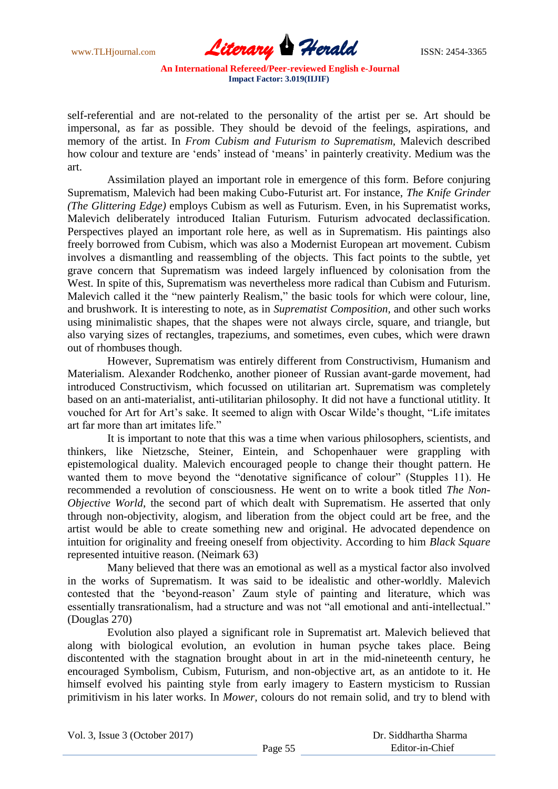www.TLHjournal.com *Literary Herald*ISSN: 2454-3365

self-referential and are not-related to the personality of the artist per se. Art should be impersonal, as far as possible. They should be devoid of the feelings, aspirations, and memory of the artist. In *From Cubism and Futurism to Suprematism,* Malevich described how colour and texture are 'ends' instead of 'means' in painterly creativity. Medium was the art.

Assimilation played an important role in emergence of this form. Before conjuring Suprematism, Malevich had been making Cubo-Futurist art. For instance, *The Knife Grinder (The Glittering Edge)* employs Cubism as well as Futurism. Even, in his Suprematist works, Malevich deliberately introduced Italian Futurism. Futurism advocated declassification. Perspectives played an important role here, as well as in Suprematism. His paintings also freely borrowed from Cubism, which was also a Modernist European art movement. Cubism involves a dismantling and reassembling of the objects. This fact points to the subtle, yet grave concern that Suprematism was indeed largely influenced by colonisation from the West. In spite of this, Suprematism was nevertheless more radical than Cubism and Futurism. Malevich called it the "new painterly Realism," the basic tools for which were colour, line, and brushwork. It is interesting to note, as in *Suprematist Composition,* and other such works using minimalistic shapes, that the shapes were not always circle, square, and triangle, but also varying sizes of rectangles, trapeziums, and sometimes, even cubes, which were drawn out of rhombuses though.

However, Suprematism was entirely different from Constructivism, Humanism and Materialism. Alexander Rodchenko, another pioneer of Russian avant-garde movement, had introduced Constructivism, which focussed on utilitarian art. Suprematism was completely based on an anti-materialist, anti-utilitarian philosophy. It did not have a functional utitlity. It vouched for Art for Art's sake. It seemed to align with Oscar Wilde's thought, "Life imitates" art far more than art imitates life."

It is important to note that this was a time when various philosophers, scientists, and thinkers, like Nietzsche, Steiner, Eintein, and Schopenhauer were grappling with epistemological duality. Malevich encouraged people to change their thought pattern. He wanted them to move beyond the "denotative significance of colour" (Stupples 11). He recommended a revolution of consciousness. He went on to write a book titled *The Non-Objective World*, the second part of which dealt with Suprematism. He asserted that only through non-objectivity, alogism, and liberation from the object could art be free, and the artist would be able to create something new and original. He advocated dependence on intuition for originality and freeing oneself from objectivity. According to him *Black Square*  represented intuitive reason. (Neimark 63)

Many believed that there was an emotional as well as a mystical factor also involved in the works of Suprematism. It was said to be idealistic and other-worldly. Malevich contested that the "beyond-reason" Zaum style of painting and literature, which was essentially transrationalism, had a structure and was not "all emotional and anti-intellectual." (Douglas 270)

Evolution also played a significant role in Suprematist art. Malevich believed that along with biological evolution, an evolution in human psyche takes place. Being discontented with the stagnation brought about in art in the mid-nineteenth century, he encouraged Symbolism, Cubism, Futurism, and non-objective art, as an antidote to it. He himself evolved his painting style from early imagery to Eastern mysticism to Russian primitivism in his later works. In *Mower,* colours do not remain solid, and try to blend with